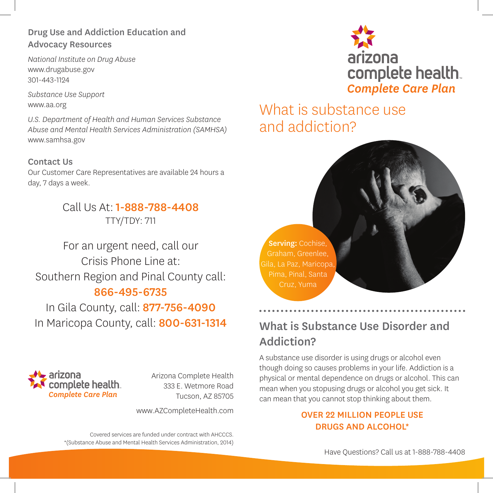### Drug Use and Addiction Education and Advocacy Resources

*National Institute on Drug Abuse* www.drugabuse.gov 301-443-1124

*Substance Use Support* www.aa.org

*U.S. Department of Health and Human Services Substance Abuse and Mental Health Services Administration (SAMHSA)* www.samhsa.gov

### Contact Us

Our Customer Care Representatives are available 24 hours a day, 7 days a week.

# Call Us At: 1-888-788-4408 TTY/TDY: 711

For an urgent need, call our Crisis Phone Line at: Southern Region and Pinal County call: 866-495-6735

In Gila County, call: 877-756-4090 In Maricopa County, call: 800-631-1314



Arizona Complete Health 333 E. Wetmore Road Tucson, AZ 85705

www.AZCompleteHealth.com

Covered services are funded under contract with AHCCCS. \*(Substance Abuse and Mental Health Services Administration, 2014)



# What is substance use and addiction?



# What is Substance Use Disorder and Addiction?

A substance use disorder is using drugs or alcohol even though doing so causes problems in your life. Addiction is a physical or mental dependence on drugs or alcohol. This can mean when you stopusing drugs or alcohol you get sick. It can mean that you cannot stop thinking about them.

### OVER 22 MILLION PEOPLE USE DRUGS AND ALCOHOL\*

Have Questions? Call us at 1-888-788-4408